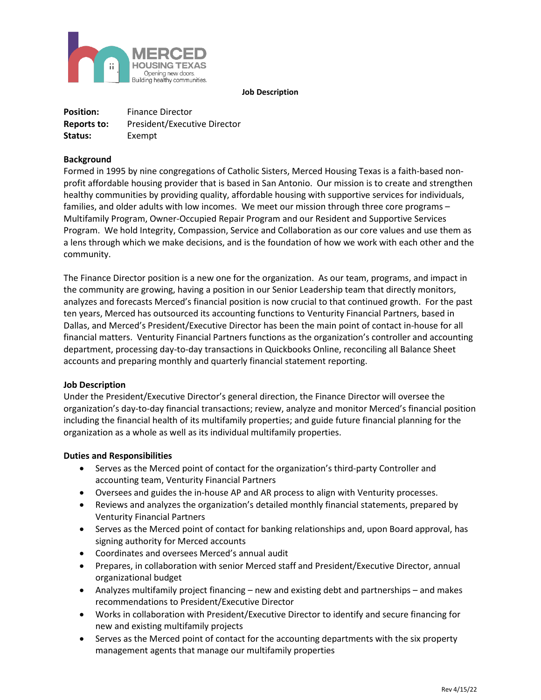

**Job Description**

| <b>Position:</b> | <b>Finance Director</b>      |
|------------------|------------------------------|
| Reports to:      | President/Executive Director |
| Status:          | Exempt                       |

## **Background**

Formed in 1995 by nine congregations of Catholic Sisters, Merced Housing Texas is a faith-based nonprofit affordable housing provider that is based in San Antonio. Our mission is to create and strengthen healthy communities by providing quality, affordable housing with supportive services for individuals, families, and older adults with low incomes. We meet our mission through three core programs – Multifamily Program, Owner-Occupied Repair Program and our Resident and Supportive Services Program. We hold Integrity, Compassion, Service and Collaboration as our core values and use them as a lens through which we make decisions, and is the foundation of how we work with each other and the community.

The Finance Director position is a new one for the organization. As our team, programs, and impact in the community are growing, having a position in our Senior Leadership team that directly monitors, analyzes and forecasts Merced's financial position is now crucial to that continued growth. For the past ten years, Merced has outsourced its accounting functions to Venturity Financial Partners, based in Dallas, and Merced's President/Executive Director has been the main point of contact in-house for all financial matters. Venturity Financial Partners functions as the organization's controller and accounting department, processing day-to-day transactions in Quickbooks Online, reconciling all Balance Sheet accounts and preparing monthly and quarterly financial statement reporting.

## **Job Description**

Under the President/Executive Director's general direction, the Finance Director will oversee the organization's day-to-day financial transactions; review, analyze and monitor Merced's financial position including the financial health of its multifamily properties; and guide future financial planning for the organization as a whole as well as its individual multifamily properties.

## **Duties and Responsibilities**

- Serves as the Merced point of contact for the organization's third-party Controller and accounting team, Venturity Financial Partners
- Oversees and guides the in-house AP and AR process to align with Venturity processes.
- Reviews and analyzes the organization's detailed monthly financial statements, prepared by Venturity Financial Partners
- Serves as the Merced point of contact for banking relationships and, upon Board approval, has signing authority for Merced accounts
- Coordinates and oversees Merced's annual audit
- Prepares, in collaboration with senior Merced staff and President/Executive Director, annual organizational budget
- Analyzes multifamily project financing new and existing debt and partnerships and makes recommendations to President/Executive Director
- Works in collaboration with President/Executive Director to identify and secure financing for new and existing multifamily projects
- Serves as the Merced point of contact for the accounting departments with the six property management agents that manage our multifamily properties